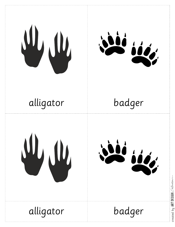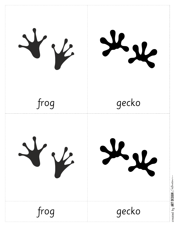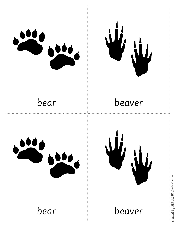

 $0$ ESIGN  $\mathcal{C}$ ollection Art

created by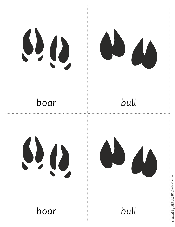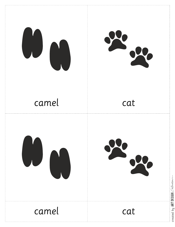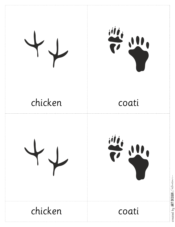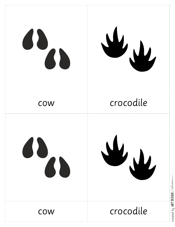

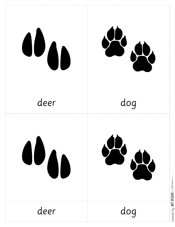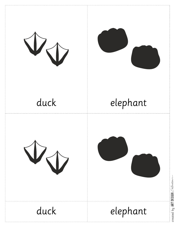





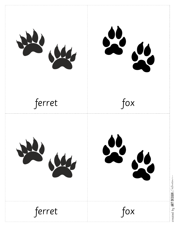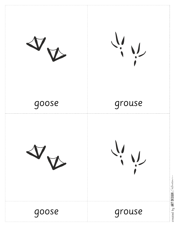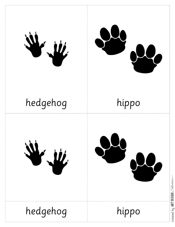





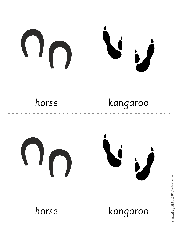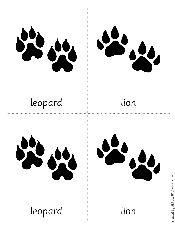







 $0$ ESIGN  $\mathcal{C}$ ollection

Art

created by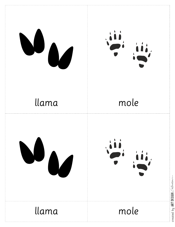

created by <code>ART</code> <code>DESIGN</code>  $\mathcal{C\text{-}l\ell\text{-}tror}$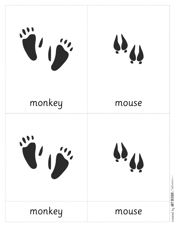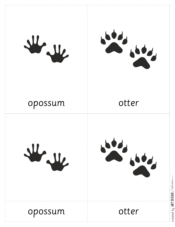



# opossum

# otter





# opossum

otter

created by <code>ART</code> <code>DESIGN</code> Collection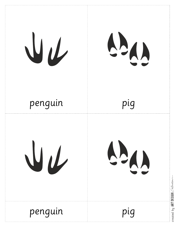

Art created by

 $0$ ESIGN  $\mathcal{C}$ ollection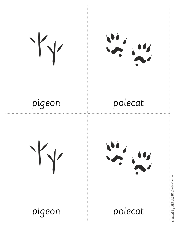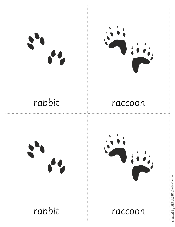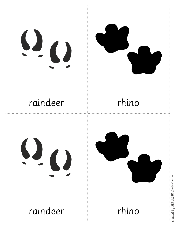# $\Omega_{\rm O}$



# raindeer

# rhino

# $\Omega_{\Omega}$



# raindeer

rhino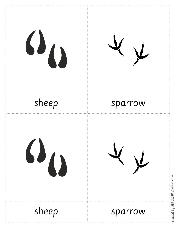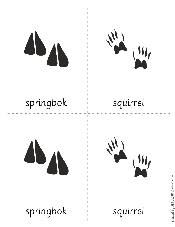





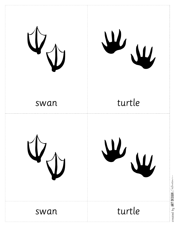